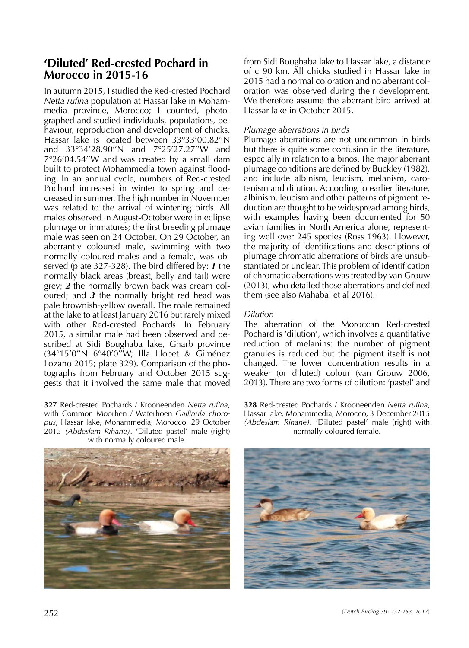# **'Diluted' Red-crested Pochard in Morocco in 2015-16**

In autumn 2015, I studied the Red-crested Pochard *Netta rufina* population at Hassar lake in Mohammedia province, Morocco; I counted, photographed and studied individuals, populations, behaviour, reproduction and development of chicks. Hassar lake is located between 33°33'00.82''N and 33°34'28.90''N and 7°25'27.27''W and 7°26'04.54''W and was created by a small dam built to protect Mohammedia town against flooding. In an annual cycle, numbers of Red-crested Pochard increased in winter to spring and decreased in summer. The high number in November was related to the arrival of wintering birds. All males observed in August-October were in eclipse plumage or immatures; the first breeding plumage male was seen on 24 October. On 29 October, an aberrantly coloured male, swimming with two normally coloured males and a female, was observed (plate 327-328). The bird differed by: *1* the normally black areas (breast, belly and tail) were grey; *2* the normally brown back was cream coloured; and *3* the normally bright red head was pale brownish-yellow overall. The male remained at the lake to at least January 2016 but rarely mixed with other Red-crested Pochards. In February 2015, a similar male had been observed and described at Sidi Boughaba lake, Gharb province (34°15'0''N 6°40'0''W; Illa Llobet & Giménez Lozano 2015; plate 329). Comparison of the photographs from February and October 2015 suggests that it involved the same male that moved

**327** Red-crested Pochards / Krooneenden *Netta rufina*, with Common Moorhen / Waterhoen *Gallinula choropus*, Hassar lake, Mohammedia, Morocco, 29 October 2015 *(Abdeslam Rihane)*. 'Diluted pastel' male (right) with normally coloured male.

from Sidi Boughaba lake to Hassar lake, a distance of c 90 km. All chicks studied in Hassar lake in 2015 had a normal coloration and no aberrant coloration was observed during their development. We therefore assume the aberrant bird arrived at Hassar lake in October 2015.

### *Plumage aberrations in birds*

Plumage aberrations are not uncommon in birds but there is quite some confusion in the literature, especially in relation to albinos. The major aberrant plumage conditions are defined by Buckley (1982), and include albinism, leucism, melanism, carotenism and dilution. According to earlier literature, albinism, leucism and other patterns of pigment reduction are thought to be widespread among birds, with examples having been documented for 50 avian families in North America alone, representing well over 245 species (Ross 1963). However, the majority of identifications and descriptions of plumage chromatic aberrations of birds are unsubstantiated or unclear. This problem of identification of chromatic aberrations was treated by van Grouw (2013), who detailed those aberrations and defined them (see also Mahabal et al 2016).

## *Dilution*

The aberration of the Moroccan Red-crested Pochard is 'dilution', which involves a quantitative reduction of melanins: the number of pigment granules is reduced but the pigment itself is not changed. The lower concentration results in a weaker (or diluted) colour (van Grouw 2006, 2013). There are two forms of dilution: 'pastel' and

**328** Red-crested Pochards / Krooneenden *Netta rufina*, Hassar lake, Mohammedia, Morocco, 3 December 2015 *(Abdeslam Rihane)*. 'Diluted pastel' male (right) with normally coloured female.